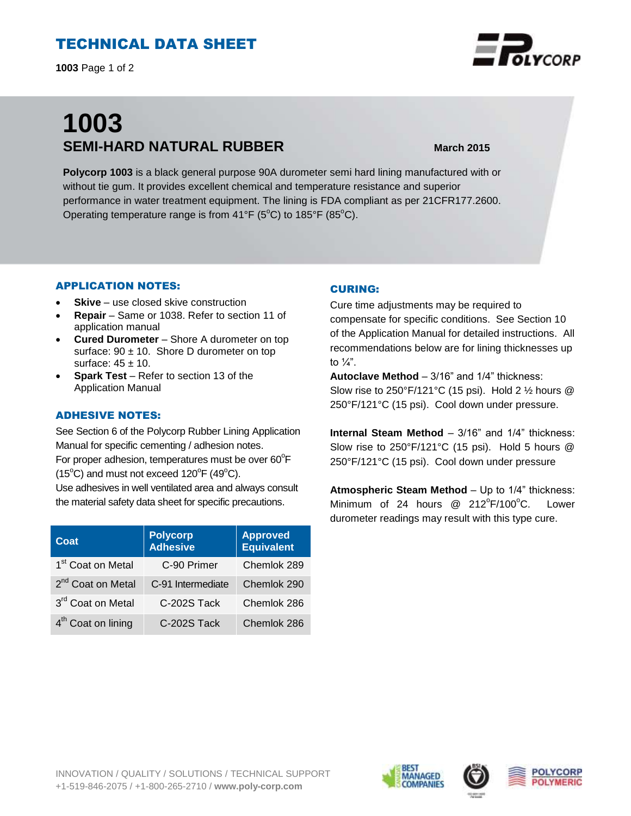# TECHNICAL DATA SHEET

**1003** Page 1 of 2

# **1003 SEMI-HARD NATURAL RUBBER March 2015**

**Polycorp 1003** is a black general purpose 90A durometer semi hard lining manufactured with or without tie gum. It provides excellent chemical and temperature resistance and superior performance in water treatment equipment. The lining is FDA compliant as per 21CFR177.2600. Operating temperature range is from  $41^{\circ}F$  (5°C) to 185°F (85°C).

### APPLICATION NOTES:

- **Skive** use closed skive construction
- **Repair**  Same or 1038. Refer to section 11 of application manual
- **Cured Durometer** Shore A durometer on top surface:  $90 \pm 10$ . Shore D durometer on top surface:  $45 \pm 10$ .
- **Spark Test** Refer to section 13 of the Application Manual

## ADHESIVE NOTES:

See Section 6 of the Polycorp Rubber Lining Application Manual for specific cementing / adhesion notes. For proper adhesion, temperatures must be over  $60^{\circ}$ F  $(15^{\circ}C)$  and must not exceed  $120^{\circ}F(49^{\circ}C)$ .

Use adhesives in well ventilated area and always consult the material safety data sheet for specific precautions.

| Coat                           | <b>Polycorp</b><br>Adhesive | <b>Approved</b><br>Equivalent |
|--------------------------------|-----------------------------|-------------------------------|
| 1 <sup>st</sup> Coat on Metal  | C-90 Primer                 | Chemlok 289                   |
| 2 <sup>nd</sup> Coat on Metal  | C-91 Intermediate           | Chemlok 290                   |
| 3rd Coat on Metal              | C-202S Tack                 | Chemlok 286                   |
| 4 <sup>th</sup> Coat on lining | C-202S Tack                 | Chemlok 286                   |

## CURING:

Cure time adjustments may be required to compensate for specific conditions. See Section 10 of the Application Manual for detailed instructions. All recommendations below are for lining thicknesses up to  $\frac{1}{4}$ ".

**Autoclave Method** – 3/16" and 1/4" thickness: Slow rise to 250°F/121°C (15 psi). Hold 2 ½ hours @ 250°F/121°C (15 psi). Cool down under pressure.

**Internal Steam Method** – 3/16" and 1/4" thickness: Slow rise to 250°F/121°C (15 psi). Hold 5 hours @ 250°F/121°C (15 psi). Cool down under pressure

**Atmospheric Steam Method** – Up to 1/4" thickness: Minimum of 24 hours  $@$  212 $^{\circ}$ F/100 $^{\circ}$ C. Lower durometer readings may result with this type cure.